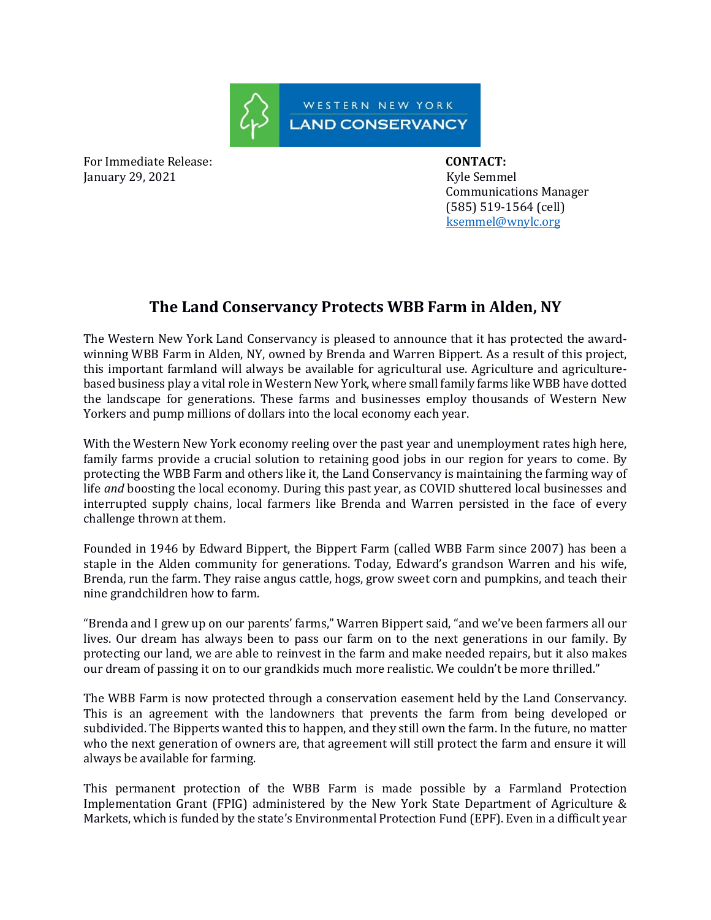

For Immediate Release: **CONTACT:**  January 29, 2021 **Kyle Semmel** 

 Communications Manager (585) 519-1564 (cell) [ksemmel@wnylc.org](mailto:ksemmel@wnylc.org)

## **The Land Conservancy Protects WBB Farm in Alden, NY**

The Western New York Land Conservancy is pleased to announce that it has protected the awardwinning WBB Farm in Alden, NY, owned by Brenda and Warren Bippert. As a result of this project, this important farmland will always be available for agricultural use. Agriculture and agriculturebased business play a vital role in Western New York, where small family farms like WBB have dotted the landscape for generations. These farms and businesses employ thousands of Western New Yorkers and pump millions of dollars into the local economy each year.

With the Western New York economy reeling over the past year and unemployment rates high here, family farms provide a crucial solution to retaining good jobs in our region for years to come. By protecting the WBB Farm and others like it, the Land Conservancy is maintaining the farming way of life *and* boosting the local economy. During this past year, as COVID shuttered local businesses and interrupted supply chains, local farmers like Brenda and Warren persisted in the face of every challenge thrown at them.

Founded in 1946 by Edward Bippert, the Bippert Farm (called WBB Farm since 2007) has been a staple in the Alden community for generations. Today, Edward's grandson Warren and his wife, Brenda, run the farm. They raise angus cattle, hogs, grow sweet corn and pumpkins, and teach their nine grandchildren how to farm.

"Brenda and I grew up on our parents' farms," Warren Bippert said, "and we've been farmers all our lives. Our dream has always been to pass our farm on to the next generations in our family. By protecting our land, we are able to reinvest in the farm and make needed repairs, but it also makes our dream of passing it on to our grandkids much more realistic. We couldn't be more thrilled."

The WBB Farm is now protected through a conservation easement held by the Land Conservancy. This is an agreement with the landowners that prevents the farm from being developed or subdivided. The Bipperts wanted this to happen, and they still own the farm. In the future, no matter who the next generation of owners are, that agreement will still protect the farm and ensure it will always be available for farming.

This permanent protection of the WBB Farm is made possible by a Farmland Protection Implementation Grant (FPIG) administered by the New York State Department of Agriculture & Markets, which is funded by the state's Environmental Protection Fund (EPF). Even in a difficult year